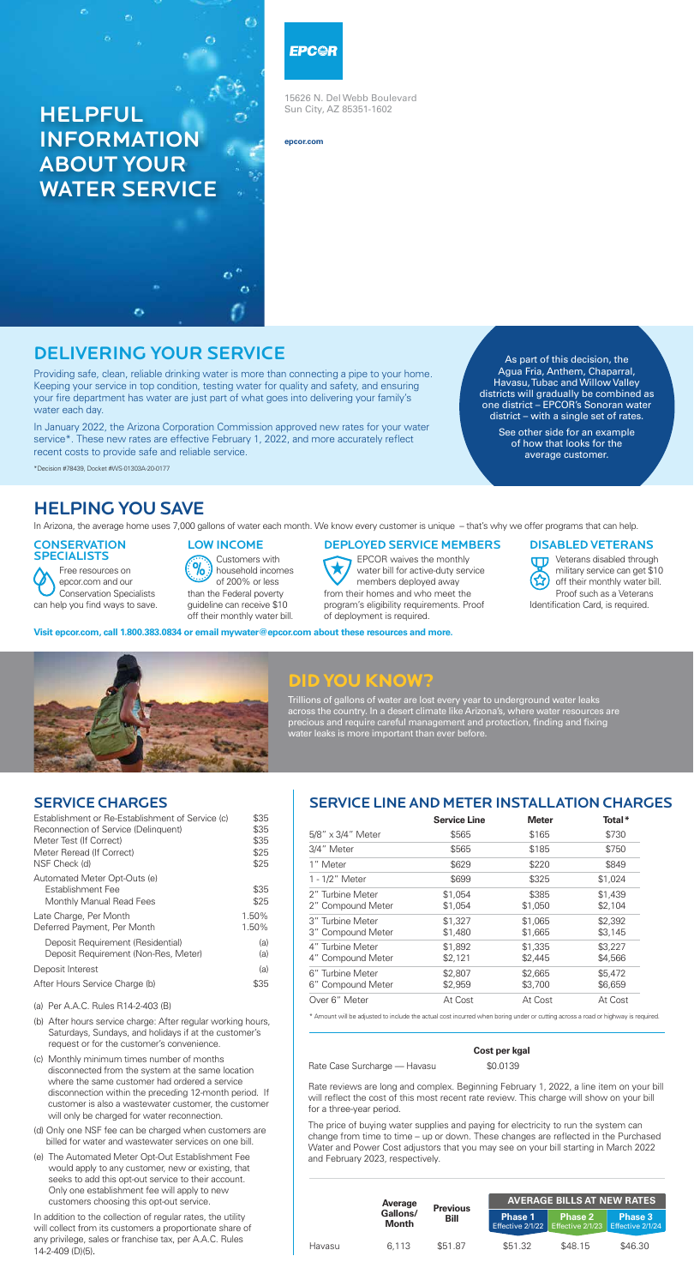15626 N. Del Webb Boulevard Sun City, AZ 85351-1602

**epcor.com**

# HELPFUL INFORMATION ABOUT YOUR WATER SERVICE

#### EPC@R

## DELIVERING YOUR SERVICE

Providing safe, clean, reliable drinking water is more than connecting a pipe to your home. Keeping your service in top condition, testing water for quality and safety, and ensuring your fire department has water are just part of what goes into delivering your family's water each day.

In January 2022, the Arizona Corporation Commission approved new rates for your water service\*. These new rates are effective February 1, 2022, and more accurately reflect recent costs to provide safe and reliable service.

\*Decision #78439, Docket #WS-01303A-20-0177

#### **CONSERVATION** SPECIALISTS

As part of this decision, the Agua Fria, Anthem, Chaparral, Havasu, Tubac and Willow Valley districts will gradually be combined as one district – EPCOR's Sonoran water district – with a single set of rates.

> See other side for an example of how that looks for the average customer.

### HELPING YOU SAVE

In Arizona, the average home uses 7,000 gallons of water each month. We know every customer is unique – that's why we offer programs that can help.

**TT** Veterans disabled through military service can get \$10 off their monthly water bill. Proof such as a Veterans Identification Card, is required.

### **Did You Know?**

Trillions of gallons of water are lost every year to underground water leaks across the country. In a desert climate like Arizona's, where water resources are precious and require careful management and protection, finding and fixing water leaks is more important than ever before.

**Visit epcor.com, call 1.800.383.0834 or email mywater@epcor.com about these resources and more.**



Free resources on epcor.com and our Conservation Specialists can help you find ways to save.

#### LOW INCOME

Customers with household incomes of 200% or less than the Federal poverty guideline can receive \$10 off their monthly water bill.

#### DEPLOYED SERVICE MEMBERS

EPCOR waives the monthly water bill for active-duty service members deployed away from their homes and who meet the program's eligibility requirements. Proof of deployment is required.

DISABLED VETERANS

| <b>Cost per kgal</b> |  |  |
|----------------------|--|--|
|----------------------|--|--|

Rate Case Surcharge — Havasu \$0.0139

Rate reviews are long and complex. Beginning February 1, 2022, a line item on your bill will reflect the cost of this most recent rate review. This charge will show on your bill for a three-year period.

The price of buying water supplies and paying for electricity to run the system can change from time to time – up or down. These changes are reflected in the Purchased Water and Power Cost adjustors that you may see on your bill starting in March 2022 and February 2023, respectively.

|        | Average                  | <b>AVERAGE BILLS AT NEW RATES</b><br><b>Previous</b> |                                    |                |                                                         |  |  |  |
|--------|--------------------------|------------------------------------------------------|------------------------------------|----------------|---------------------------------------------------------|--|--|--|
|        | Gallons/<br><b>Month</b> | Bill                                                 | <b>Phase 1</b><br>Effective 2/1/22 | <b>Phase 2</b> | <b>Phase 3</b><br>Effective $2/1/23$ Effective $2/1/24$ |  |  |  |
| Havasu | 6.113                    | \$51.87                                              | \$51.32                            | \$48.15        | \$46.30                                                 |  |  |  |

#### SERVICE CHARGES

| Establishment or Re-Establishment of Service (c) | \$35 |
|--------------------------------------------------|------|
| Reconnection of Service (Delinquent)             | \$35 |
| Meter Test (If Correct)                          | \$35 |

| Meter Reread (If Correct)<br>NSF Check (d)                                           | \$25<br>\$25   |
|--------------------------------------------------------------------------------------|----------------|
| Automated Meter Opt-Outs (e)<br><b>Establishment Fee</b><br>Monthly Manual Read Fees | \$35<br>\$25   |
| Late Charge, Per Month<br>Deferred Payment, Per Month                                | 1.50%<br>1.50% |
| Deposit Requirement (Residential)<br>Deposit Requirement (Non-Res, Meter)            | (a)<br>(a)     |
| Deposit Interest                                                                     | (a)            |
| After Hours Service Charge (b)                                                       | \$35           |
|                                                                                      |                |

(a) Per A.A.C. Rules R14-2-403 (B)

- (b) After hours service charge: After regular working hours, Saturdays, Sundays, and holidays if at the customer's request or for the customer's convenience.
- (c) Monthly minimum times number of months disconnected from the system at the same location where the same customer had ordered a service disconnection within the preceding 12-month period. If customer is also a wastewater customer, the customer will only be charged for water reconnection.
- (d) Only one NSF fee can be charged when customers are billed for water and wastewater services on one bill.
- (e) The Automated Meter Opt-Out Establishment Fee would apply to any customer, new or existing, that seeks to add this opt-out service to their account. Only one establishment fee will apply to new customers choosing this opt-out service.

In addition to the collection of regular rates, the utility will collect from its customers a proportionate share of any privilege, sales or franchise tax, per A.A.C. Rules 14-2-409 (D)(5).

#### SERVICE LINE AND METER INSTALLATION CHARGES

|                                       | <b>Service Line</b> | <b>Meter</b>       | Total*             |
|---------------------------------------|---------------------|--------------------|--------------------|
| $5/8" \times 3/4"$ Meter              | \$565               | \$165              | \$730              |
| 3/4" Meter                            | \$565               | \$185              | \$750              |
| 1" Meter                              | \$629               | \$220              | \$849              |
| 1 - 1/2" Meter                        | \$699               | \$325              | \$1,024            |
| 2" Turbine Meter<br>2" Compound Meter | \$1,054<br>\$1,054  | \$385<br>\$1,050   | \$1,439<br>\$2,104 |
| 3" Turbine Meter<br>3" Compound Meter | \$1,327<br>\$1,480  | \$1,065<br>\$1,665 | \$2,392<br>\$3,145 |
| 4" Turbine Meter<br>4" Compound Meter | \$1,892<br>\$2,121  | \$1,335<br>\$2,445 | \$3,227<br>\$4,566 |
| 6" Turbine Meter<br>6" Compound Meter | \$2,807<br>\$2,959  | \$2,665<br>\$3,700 | \$5,472<br>\$6,659 |
| Over 6" Meter                         | At Cost             | At Cost            | At Cost            |

\* Amount will be adjusted to include the actual cost incurred when boring under or cutting across a road or highway is required.